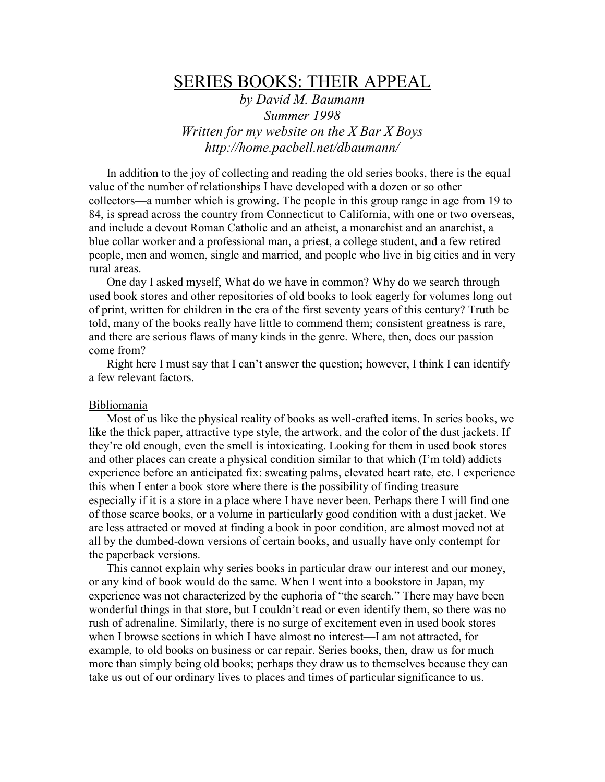# SERIES BOOKS: THEIR APPEAL

by David M. Baumann Summer 1998 Written for my website on the  $X$  Bar  $X$  Boys http://home.pacbell.net/dbaumann/

 In addition to the joy of collecting and reading the old series books, there is the equal value of the number of relationships I have developed with a dozen or so other collectors—a number which is growing. The people in this group range in age from 19 to 84, is spread across the country from Connecticut to California, with one or two overseas, and include a devout Roman Catholic and an atheist, a monarchist and an anarchist, a blue collar worker and a professional man, a priest, a college student, and a few retired people, men and women, single and married, and people who live in big cities and in very rural areas.

 One day I asked myself, What do we have in common? Why do we search through used book stores and other repositories of old books to look eagerly for volumes long out of print, written for children in the era of the first seventy years of this century? Truth be told, many of the books really have little to commend them; consistent greatness is rare, and there are serious flaws of many kinds in the genre. Where, then, does our passion come from?

 Right here I must say that I can't answer the question; however, I think I can identify a few relevant factors.

## **Bibliomania**

 Most of us like the physical reality of books as well-crafted items. In series books, we like the thick paper, attractive type style, the artwork, and the color of the dust jackets. If they're old enough, even the smell is intoxicating. Looking for them in used book stores and other places can create a physical condition similar to that which (I'm told) addicts experience before an anticipated fix: sweating palms, elevated heart rate, etc. I experience this when I enter a book store where there is the possibility of finding treasure especially if it is a store in a place where I have never been. Perhaps there I will find one of those scarce books, or a volume in particularly good condition with a dust jacket. We are less attracted or moved at finding a book in poor condition, are almost moved not at all by the dumbed-down versions of certain books, and usually have only contempt for the paperback versions.

 This cannot explain why series books in particular draw our interest and our money, or any kind of book would do the same. When I went into a bookstore in Japan, my experience was not characterized by the euphoria of "the search." There may have been wonderful things in that store, but I couldn't read or even identify them, so there was no rush of adrenaline. Similarly, there is no surge of excitement even in used book stores when I browse sections in which I have almost no interest—I am not attracted, for example, to old books on business or car repair. Series books, then, draw us for much more than simply being old books; perhaps they draw us to themselves because they can take us out of our ordinary lives to places and times of particular significance to us.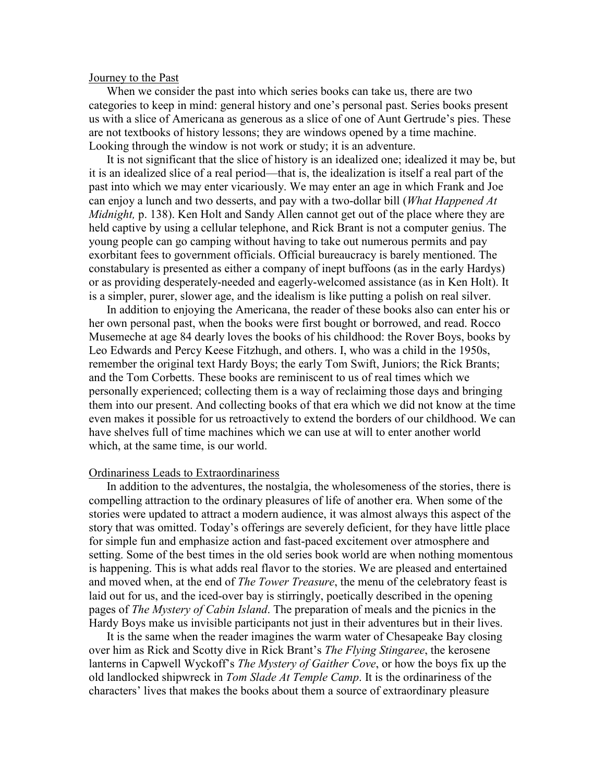#### Journey to the Past

 When we consider the past into which series books can take us, there are two categories to keep in mind: general history and one's personal past. Series books present us with a slice of Americana as generous as a slice of one of Aunt Gertrude's pies. These are not textbooks of history lessons; they are windows opened by a time machine. Looking through the window is not work or study; it is an adventure.

 It is not significant that the slice of history is an idealized one; idealized it may be, but it is an idealized slice of a real period—that is, the idealization is itself a real part of the past into which we may enter vicariously. We may enter an age in which Frank and Joe can enjoy a lunch and two desserts, and pay with a two-dollar bill (*What Happened At* Midnight, p. 138). Ken Holt and Sandy Allen cannot get out of the place where they are held captive by using a cellular telephone, and Rick Brant is not a computer genius. The young people can go camping without having to take out numerous permits and pay exorbitant fees to government officials. Official bureaucracy is barely mentioned. The constabulary is presented as either a company of inept buffoons (as in the early Hardys) or as providing desperately-needed and eagerly-welcomed assistance (as in Ken Holt). It is a simpler, purer, slower age, and the idealism is like putting a polish on real silver.

 In addition to enjoying the Americana, the reader of these books also can enter his or her own personal past, when the books were first bought or borrowed, and read. Rocco Musemeche at age 84 dearly loves the books of his childhood: the Rover Boys, books by Leo Edwards and Percy Keese Fitzhugh, and others. I, who was a child in the 1950s, remember the original text Hardy Boys; the early Tom Swift, Juniors; the Rick Brants; and the Tom Corbetts. These books are reminiscent to us of real times which we personally experienced; collecting them is a way of reclaiming those days and bringing them into our present. And collecting books of that era which we did not know at the time even makes it possible for us retroactively to extend the borders of our childhood. We can have shelves full of time machines which we can use at will to enter another world which, at the same time, is our world.

### Ordinariness Leads to Extraordinariness

 In addition to the adventures, the nostalgia, the wholesomeness of the stories, there is compelling attraction to the ordinary pleasures of life of another era. When some of the stories were updated to attract a modern audience, it was almost always this aspect of the story that was omitted. Today's offerings are severely deficient, for they have little place for simple fun and emphasize action and fast-paced excitement over atmosphere and setting. Some of the best times in the old series book world are when nothing momentous is happening. This is what adds real flavor to the stories. We are pleased and entertained and moved when, at the end of *The Tower Treasure*, the menu of the celebratory feast is laid out for us, and the iced-over bay is stirringly, poetically described in the opening pages of The Mystery of Cabin Island. The preparation of meals and the picnics in the Hardy Boys make us invisible participants not just in their adventures but in their lives.

 It is the same when the reader imagines the warm water of Chesapeake Bay closing over him as Rick and Scotty dive in Rick Brant's *The Flying Stingaree*, the kerosene lanterns in Capwell Wyckoff's *The Mystery of Gaither Cove*, or how the boys fix up the old landlocked shipwreck in Tom Slade At Temple Camp. It is the ordinariness of the characters' lives that makes the books about them a source of extraordinary pleasure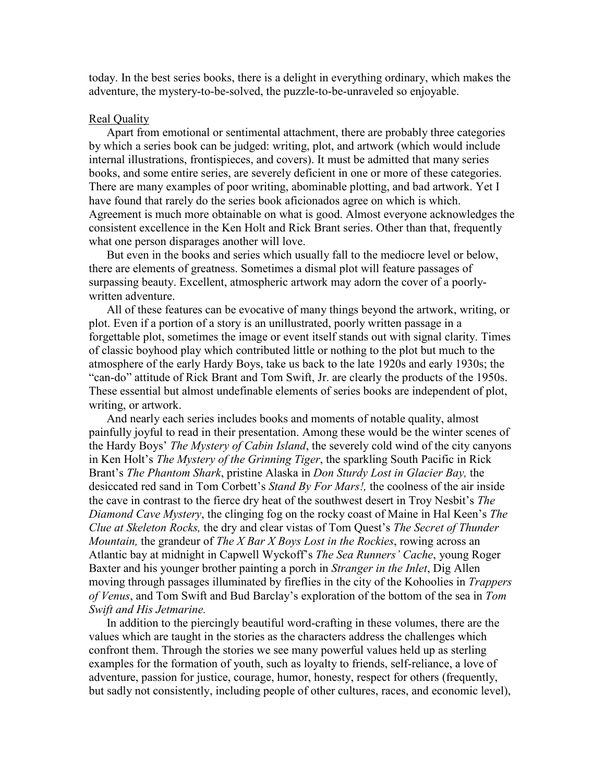today. In the best series books, there is a delight in everything ordinary, which makes the adventure, the mystery-to-be-solved, the puzzle-to-be-unraveled so enjoyable.

## Real Quality

 Apart from emotional or sentimental attachment, there are probably three categories by which a series book can be judged: writing, plot, and artwork (which would include internal illustrations, frontispieces, and covers). It must be admitted that many series books, and some entire series, are severely deficient in one or more of these categories. There are many examples of poor writing, abominable plotting, and bad artwork. Yet I have found that rarely do the series book aficionados agree on which is which. Agreement is much more obtainable on what is good. Almost everyone acknowledges the consistent excellence in the Ken Holt and Rick Brant series. Other than that, frequently what one person disparages another will love.

 But even in the books and series which usually fall to the mediocre level or below, there are elements of greatness. Sometimes a dismal plot will feature passages of surpassing beauty. Excellent, atmospheric artwork may adorn the cover of a poorlywritten adventure.

 All of these features can be evocative of many things beyond the artwork, writing, or plot. Even if a portion of a story is an unillustrated, poorly written passage in a forgettable plot, sometimes the image or event itself stands out with signal clarity. Times of classic boyhood play which contributed little or nothing to the plot but much to the atmosphere of the early Hardy Boys, take us back to the late 1920s and early 1930s; the "can-do" attitude of Rick Brant and Tom Swift, Jr. are clearly the products of the 1950s. These essential but almost undefinable elements of series books are independent of plot, writing, or artwork.

 And nearly each series includes books and moments of notable quality, almost painfully joyful to read in their presentation. Among these would be the winter scenes of the Hardy Boys' The Mystery of Cabin Island, the severely cold wind of the city canyons in Ken Holt's The Mystery of the Grinning Tiger, the sparkling South Pacific in Rick Brant's The Phantom Shark, pristine Alaska in Don Sturdy Lost in Glacier Bay, the desiccated red sand in Tom Corbett's *Stand By For Mars!*, the coolness of the air inside the cave in contrast to the fierce dry heat of the southwest desert in Troy Nesbit's *The* Diamond Cave Mystery, the clinging fog on the rocky coast of Maine in Hal Keen's The Clue at Skeleton Rocks, the dry and clear vistas of Tom Quest's The Secret of Thunder *Mountain, the grandeur of The X Bar X Boys Lost in the Rockies, rowing across an* Atlantic bay at midnight in Capwell Wyckoff's *The Sea Runners' Cache*, young Roger Baxter and his younger brother painting a porch in Stranger in the Inlet, Dig Allen moving through passages illuminated by fireflies in the city of the Kohoolies in Trappers of Venus, and Tom Swift and Bud Barclay's exploration of the bottom of the sea in Tom Swift and His Jetmarine.

 In addition to the piercingly beautiful word-crafting in these volumes, there are the values which are taught in the stories as the characters address the challenges which confront them. Through the stories we see many powerful values held up as sterling examples for the formation of youth, such as loyalty to friends, self-reliance, a love of adventure, passion for justice, courage, humor, honesty, respect for others (frequently, but sadly not consistently, including people of other cultures, races, and economic level),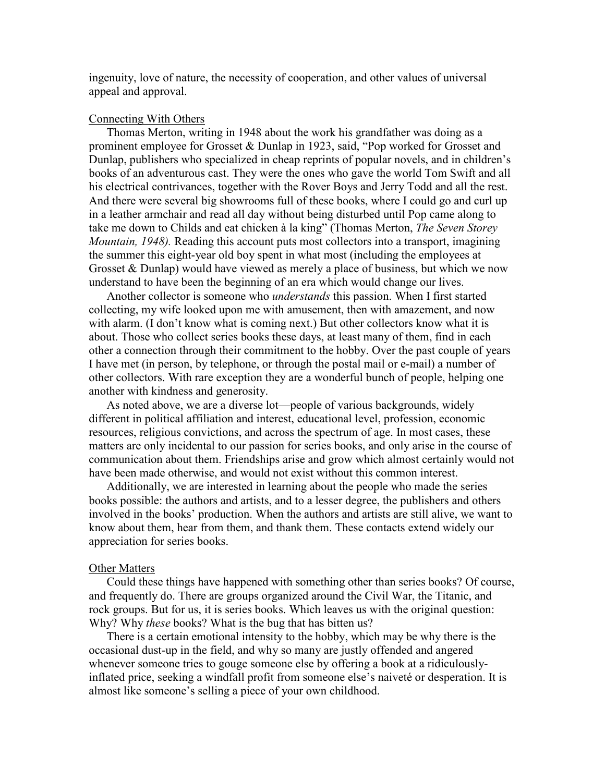ingenuity, love of nature, the necessity of cooperation, and other values of universal appeal and approval.

## Connecting With Others

 Thomas Merton, writing in 1948 about the work his grandfather was doing as a prominent employee for Grosset & Dunlap in 1923, said, "Pop worked for Grosset and Dunlap, publishers who specialized in cheap reprints of popular novels, and in children's books of an adventurous cast. They were the ones who gave the world Tom Swift and all his electrical contrivances, together with the Rover Boys and Jerry Todd and all the rest. And there were several big showrooms full of these books, where I could go and curl up in a leather armchair and read all day without being disturbed until Pop came along to take me down to Childs and eat chicken à la king" (Thomas Merton, The Seven Storey Mountain, 1948). Reading this account puts most collectors into a transport, imagining the summer this eight-year old boy spent in what most (including the employees at Grosset & Dunlap) would have viewed as merely a place of business, but which we now understand to have been the beginning of an era which would change our lives.

 Another collector is someone who understands this passion. When I first started collecting, my wife looked upon me with amusement, then with amazement, and now with alarm. (I don't know what is coming next.) But other collectors know what it is about. Those who collect series books these days, at least many of them, find in each other a connection through their commitment to the hobby. Over the past couple of years I have met (in person, by telephone, or through the postal mail or e-mail) a number of other collectors. With rare exception they are a wonderful bunch of people, helping one another with kindness and generosity.

 As noted above, we are a diverse lot—people of various backgrounds, widely different in political affiliation and interest, educational level, profession, economic resources, religious convictions, and across the spectrum of age. In most cases, these matters are only incidental to our passion for series books, and only arise in the course of communication about them. Friendships arise and grow which almost certainly would not have been made otherwise, and would not exist without this common interest.

 Additionally, we are interested in learning about the people who made the series books possible: the authors and artists, and to a lesser degree, the publishers and others involved in the books' production. When the authors and artists are still alive, we want to know about them, hear from them, and thank them. These contacts extend widely our appreciation for series books.

#### Other Matters

 Could these things have happened with something other than series books? Of course, and frequently do. There are groups organized around the Civil War, the Titanic, and rock groups. But for us, it is series books. Which leaves us with the original question: Why? Why *these* books? What is the bug that has bitten us?

 There is a certain emotional intensity to the hobby, which may be why there is the occasional dust-up in the field, and why so many are justly offended and angered whenever someone tries to gouge someone else by offering a book at a ridiculouslyinflated price, seeking a windfall profit from someone else's naiveté or desperation. It is almost like someone's selling a piece of your own childhood.